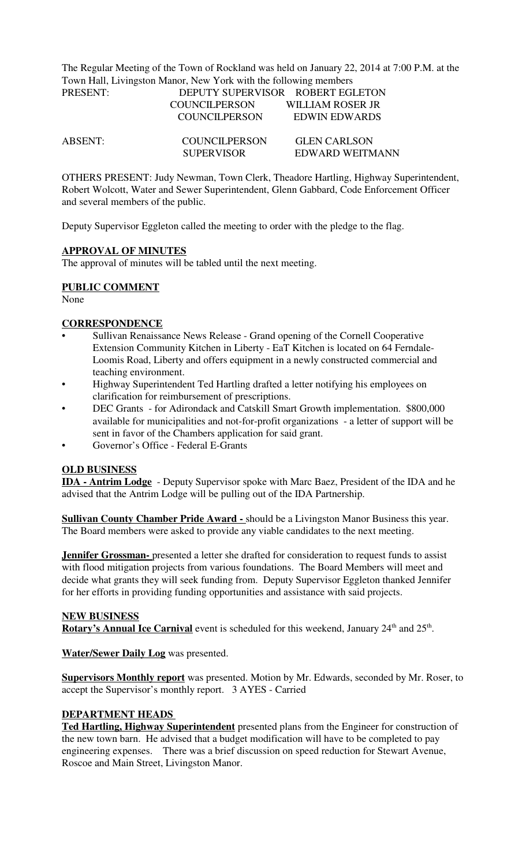The Regular Meeting of the Town of Rockland was held on January 22, 2014 at 7:00 P.M. at the Town Hall, Livingston Manor, New York with the following members PRESENT: DEPUTY SUPERVISOR ROBERT EGLETON

| .              |                      |                     |  |
|----------------|----------------------|---------------------|--|
|                | <b>COUNCILPERSON</b> | WILLIAM ROSER JR    |  |
|                | <b>COUNCILPERSON</b> | EDWIN EDWARDS       |  |
| <b>ABSENT:</b> | <b>COUNCILPERSON</b> | <b>GLEN CARLSON</b> |  |
|                | <b>SUPERVISOR</b>    | EDWARD WEITMANN     |  |

OTHERS PRESENT: Judy Newman, Town Clerk, Theadore Hartling, Highway Superintendent, Robert Wolcott, Water and Sewer Superintendent, Glenn Gabbard, Code Enforcement Officer and several members of the public.

Deputy Supervisor Eggleton called the meeting to order with the pledge to the flag.

## **APPROVAL OF MINUTES**

The approval of minutes will be tabled until the next meeting.

## **PUBLIC COMMENT**

None

## **CORRESPONDENCE**

- Sullivan Renaissance News Release Grand opening of the Cornell Cooperative Extension Community Kitchen in Liberty - EaT Kitchen is located on 64 Ferndale-Loomis Road, Liberty and offers equipment in a newly constructed commercial and teaching environment.
- Highway Superintendent Ted Hartling drafted a letter notifying his employees on clarification for reimbursement of prescriptions.
- DEC Grants for Adirondack and Catskill Smart Growth implementation. \$800,000 available for municipalities and not-for-profit organizations - a letter of support will be sent in favor of the Chambers application for said grant.
- Governor's Office Federal E-Grants

# **OLD BUSINESS**

**IDA - Antrim Lodge** - Deputy Supervisor spoke with Marc Baez, President of the IDA and he advised that the Antrim Lodge will be pulling out of the IDA Partnership.

**Sullivan County Chamber Pride Award -** should be a Livingston Manor Business this year. The Board members were asked to provide any viable candidates to the next meeting.

**Jennifer Grossman-** presented a letter she drafted for consideration to request funds to assist with flood mitigation projects from various foundations. The Board Members will meet and decide what grants they will seek funding from. Deputy Supervisor Eggleton thanked Jennifer for her efforts in providing funding opportunities and assistance with said projects.

# **NEW BUSINESS**

Rotary's Annual Ice Carnival event is scheduled for this weekend, January 24<sup>th</sup> and 25<sup>th</sup>.

**Water/Sewer Daily Log** was presented.

**Supervisors Monthly report** was presented. Motion by Mr. Edwards, seconded by Mr. Roser, to accept the Supervisor's monthly report. 3 AYES - Carried

## **DEPARTMENT HEADS**

**Ted Hartling, Highway Superintendent** presented plans from the Engineer for construction of the new town barn. He advised that a budget modification will have to be completed to pay engineering expenses. There was a brief discussion on speed reduction for Stewart Avenue, Roscoe and Main Street, Livingston Manor.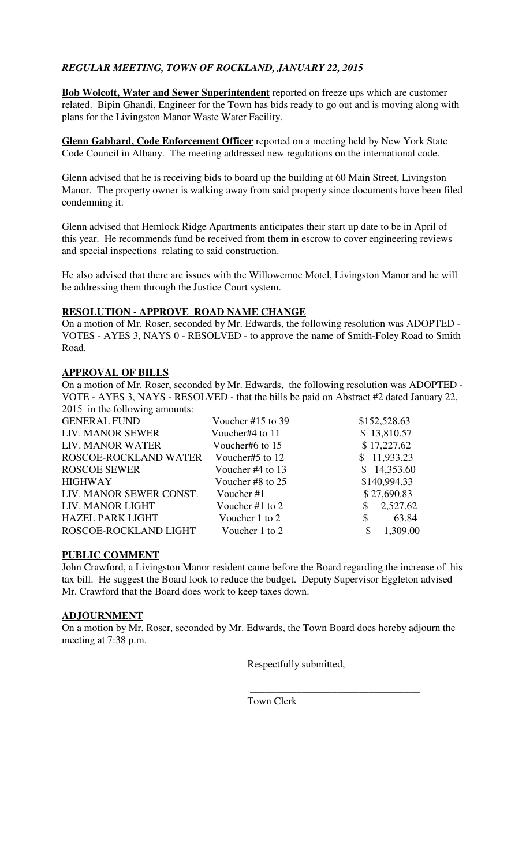# *REGULAR MEETING, TOWN OF ROCKLAND, JANUARY 22, 2015*

**Bob Wolcott, Water and Sewer Superintendent** reported on freeze ups which are customer related. Bipin Ghandi, Engineer for the Town has bids ready to go out and is moving along with plans for the Livingston Manor Waste Water Facility.

**Glenn Gabbard, Code Enforcement Officer** reported on a meeting held by New York State Code Council in Albany. The meeting addressed new regulations on the international code.

Glenn advised that he is receiving bids to board up the building at 60 Main Street, Livingston Manor. The property owner is walking away from said property since documents have been filed condemning it.

Glenn advised that Hemlock Ridge Apartments anticipates their start up date to be in April of this year. He recommends fund be received from them in escrow to cover engineering reviews and special inspections relating to said construction.

He also advised that there are issues with the Willowemoc Motel, Livingston Manor and he will be addressing them through the Justice Court system.

## **RESOLUTION - APPROVE ROAD NAME CHANGE**

On a motion of Mr. Roser, seconded by Mr. Edwards, the following resolution was ADOPTED - VOTES - AYES 3, NAYS 0 - RESOLVED - to approve the name of Smith-Foley Road to Smith Road.

## **APPROVAL OF BILLS**

On a motion of Mr. Roser, seconded by Mr. Edwards, the following resolution was ADOPTED - VOTE - AYES 3, NAYS - RESOLVED - that the bills be paid on Abstract #2 dated January 22, 2015 in the following amounts:

| <b>GENERAL FUND</b>     | Voucher #15 to 39 | \$152,528.63   |
|-------------------------|-------------------|----------------|
| LIV. MANOR SEWER        | Voucher#4 to 11   | \$13,810.57    |
| LIV. MANOR WATER        | Voucher#6 to 15   | \$17,227.62    |
| ROSCOE-ROCKLAND WATER   | Voucher#5 to 12   | \$11,933.23    |
| <b>ROSCOE SEWER</b>     | Voucher #4 to 13  | \$14,353.60    |
| <b>HIGHWAY</b>          | Voucher #8 to 25  | \$140,994.33   |
| LIV. MANOR SEWER CONST. | Voucher #1        | \$27,690.83    |
| LIV. MANOR LIGHT        | Voucher #1 to $2$ | 2,527.62<br>\$ |
| <b>HAZEL PARK LIGHT</b> | Voucher 1 to 2    | 63.84<br>\$    |
| ROSCOE-ROCKLAND LIGHT   | Voucher 1 to 2    | 1,309.00<br>\$ |
|                         |                   |                |

## **PUBLIC COMMENT**

John Crawford, a Livingston Manor resident came before the Board regarding the increase of his tax bill. He suggest the Board look to reduce the budget. Deputy Supervisor Eggleton advised Mr. Crawford that the Board does work to keep taxes down.

## **ADJOURNMENT**

On a motion by Mr. Roser, seconded by Mr. Edwards, the Town Board does hereby adjourn the meeting at 7:38 p.m.

 $\overline{\phantom{a}}$  , and the contract of the contract of the contract of the contract of the contract of the contract of the contract of the contract of the contract of the contract of the contract of the contract of the contrac

Respectfully submitted,

Town Clerk